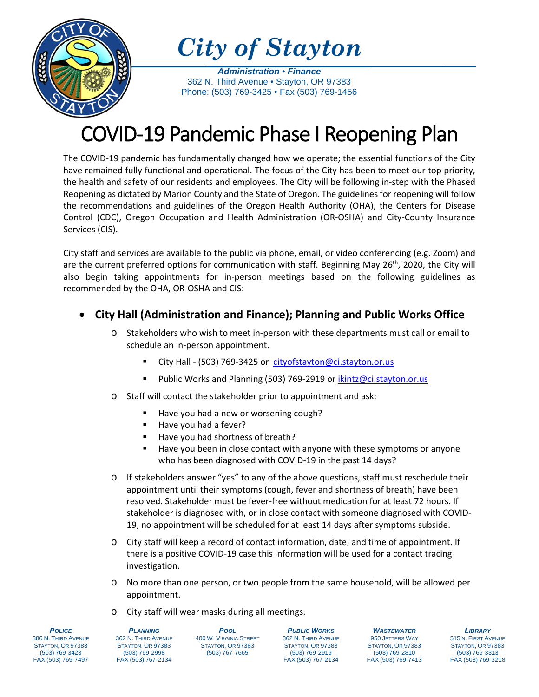

*City of Stayton*

*Administration* • *Finance* 362 N. Third Avenue • Stayton, OR 97383 Phone: (503) 769-3425 • Fax (503) 769-1456

# COVID-19 Pandemic Phase I Reopening Plan

The COVID-19 pandemic has fundamentally changed how we operate; the essential functions of the City have remained fully functional and operational. The focus of the City has been to meet our top priority, the health and safety of our residents and employees. The City will be following in-step with the Phased Reopening as dictated by Marion County and the State of Oregon. The guidelines for reopening will follow the recommendations and guidelines of the Oregon Health Authority (OHA), the Centers for Disease Control (CDC), Oregon Occupation and Health Administration (OR-OSHA) and City-County Insurance Services (CIS).

City staff and services are available to the public via phone, email, or video conferencing (e.g. Zoom) and are the current preferred options for communication with staff. Beginning May 26<sup>th</sup>, 2020, the City will also begin taking appointments for in-person meetings based on the following guidelines as recommended by the OHA, OR-OSHA and CIS:

# • **City Hall (Administration and Finance); Planning and Public Works Office**

- o Stakeholders who wish to meet in-person with these departments must call or email to schedule an in-person appointment.
	- City Hall (503) 769-3425 or [cityofstayton@ci.stayton.or.us](mailto:cityofstayton@ci.stayton.or.us)
	- Public Works and Planning (503) 769-2919 or [ikintz@ci.stayton.or.us](mailto:ikintz@ci.stayton.or.us)
- o Staff will contact the stakeholder prior to appointment and ask:
	- Have you had a new or worsening cough?
	- Have you had a fever?
	- Have you had shortness of breath?
	- Have you been in close contact with anyone with these symptoms or anyone who has been diagnosed with COVID-19 in the past 14 days?
- o If stakeholders answer "yes" to any of the above questions, staff must reschedule their appointment until their symptoms (cough, fever and shortness of breath) have been resolved. Stakeholder must be fever-free without medication for at least 72 hours. If stakeholder is diagnosed with, or in close contact with someone diagnosed with COVID-19, no appointment will be scheduled for at least 14 days after symptoms subside.
- o City staff will keep a record of contact information, date, and time of appointment. If there is a positive COVID-19 case this information will be used for a contact tracing investigation.
- o No more than one person, or two people from the same household, will be allowed per appointment.
- o City staff will wear masks during all meetings.

*POLICE* 386 N. THIRD AVENUE STAYTON, OR 97383 (503) 769-3423 FAX (503) 769-7497

*PLANNING* 362 N. THIRD AVENUE STAYTON, OR 97383 (503) 769-2998 FAX (503) 767-2134

*POOL* 400 W. VIRGINIA STREET STAYTON, OR 97383 (503) 767-7665

*PUBLIC WORKS* 362 N. THIRD AVENUE STAYTON, OR 97383 (503) 769-2919 FAX (503) 767-2134

*WASTEWATER* 950 JETTERS WAY STAYTON, OR 97383 (503) 769-2810 FAX (503) 769-7413

*LIBRARY* 515 N. FIRST AVENUE STAYTON, OR 97383 (503) 769-3313 FAX (503) 769-3218